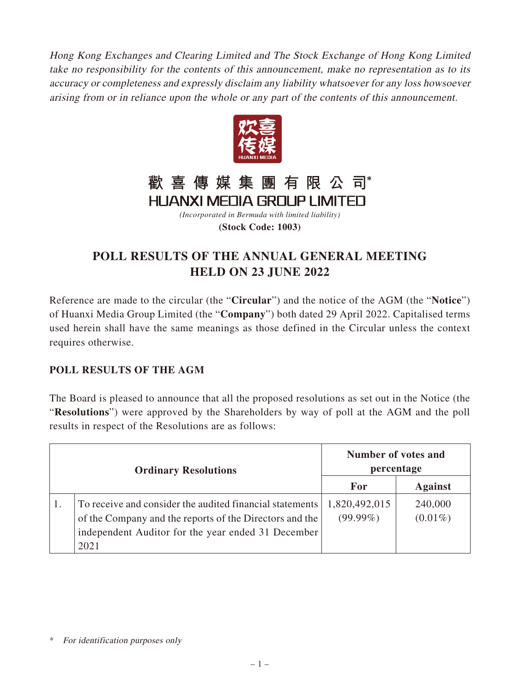Hong Kong Exchanges and Clearing Limited and The Stock Exchange of Hong Kong Limited take no responsibility for the contents of this announcement, make no representation as to its accuracy or completeness and expressly disclaim any liability whatsoever for any loss howsoever arising from or in reliance upon the whole or any part of the contents of this announcement.



## 歡喜傳媒集團有限公司

**HUANXI MEDIA GROUP LIMITED** *(Incorporated in Bermuda with limited liability)* **(Stock Code: 1003)**

## **POLL RESULTS OF THE ANNUAL GENERAL MEETING HELD ON 23 JUNE 2022**

Reference are made to the circular (the "**Circular**") and the notice of the AGM (the "**Notice**") of Huanxi Media Group Limited (the "**Company**") both dated 29 April 2022. Capitalised terms used herein shall have the same meanings as those defined in the Circular unless the context requires otherwise.

## **POLL RESULTS OF THE AGM**

The Board is pleased to announce that all the proposed resolutions as set out in the Notice (the "**Resolutions**") were approved by the Shareholders by way of poll at the AGM and the poll results in respect of the Resolutions are as follows:

| <b>Ordinary Resolutions</b>                                                                                                                                                       | Number of votes and<br>percentage |                       |
|-----------------------------------------------------------------------------------------------------------------------------------------------------------------------------------|-----------------------------------|-----------------------|
|                                                                                                                                                                                   | For                               | <b>Against</b>        |
| To receive and consider the audited financial statements<br>of the Company and the reports of the Directors and the<br>independent Auditor for the year ended 31 December<br>2021 | 1,820,492,015<br>$(99.99\%)$      | 240,000<br>$(0.01\%)$ |

<sup>\*</sup> For identification purposes only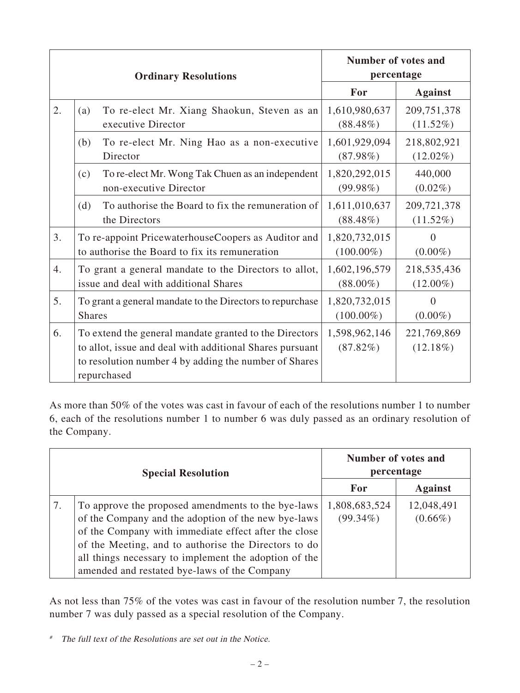| <b>Ordinary Resolutions</b> |                                                                                                                                                                                            | Number of votes and<br>percentage |                            |
|-----------------------------|--------------------------------------------------------------------------------------------------------------------------------------------------------------------------------------------|-----------------------------------|----------------------------|
|                             |                                                                                                                                                                                            | For                               | <b>Against</b>             |
| 2.                          | To re-elect Mr. Xiang Shaokun, Steven as an<br>(a)<br>executive Director                                                                                                                   | 1,610,980,637<br>$(88.48\%)$      | 209,751,378<br>$(11.52\%)$ |
|                             | (b)<br>To re-elect Mr. Ning Hao as a non-executive<br>Director                                                                                                                             | 1,601,929,094<br>$(87.98\%)$      | 218,802,921<br>$(12.02\%)$ |
|                             | To re-elect Mr. Wong Tak Chuen as an independent<br>(c)<br>non-executive Director                                                                                                          | 1,820,292,015<br>$(99.98\%)$      | 440,000<br>$(0.02\%)$      |
|                             | To authorise the Board to fix the remuneration of<br>(d)<br>the Directors                                                                                                                  | 1,611,010,637<br>$(88.48\%)$      | 209,721,378<br>$(11.52\%)$ |
| 3.                          | To re-appoint PricewaterhouseCoopers as Auditor and<br>to authorise the Board to fix its remuneration                                                                                      | 1,820,732,015<br>$(100.00\%)$     | $\theta$<br>$(0.00\%)$     |
| 4.                          | To grant a general mandate to the Directors to allot,<br>issue and deal with additional Shares                                                                                             | 1,602,196,579<br>$(88.00\%)$      | 218,535,436<br>$(12.00\%)$ |
| 5.                          | To grant a general mandate to the Directors to repurchase<br><b>Shares</b>                                                                                                                 | 1,820,732,015<br>$(100.00\%)$     | $\Omega$<br>$(0.00\%)$     |
| 6.                          | To extend the general mandate granted to the Directors<br>to allot, issue and deal with additional Shares pursuant<br>to resolution number 4 by adding the number of Shares<br>repurchased | 1,598,962,146<br>$(87.82\%)$      | 221,769,869<br>$(12.18\%)$ |

As more than 50% of the votes was cast in favour of each of the resolutions number 1 to number 6, each of the resolutions number 1 to number 6 was duly passed as an ordinary resolution of the Company.

| <b>Special Resolution</b> |                                                                                                                                                                                                                                                                                                                                    | Number of votes and<br>percentage |                          |
|---------------------------|------------------------------------------------------------------------------------------------------------------------------------------------------------------------------------------------------------------------------------------------------------------------------------------------------------------------------------|-----------------------------------|--------------------------|
|                           |                                                                                                                                                                                                                                                                                                                                    | For                               | <b>Against</b>           |
|                           | To approve the proposed amendments to the bye-laws<br>of the Company and the adoption of the new bye-laws<br>of the Company with immediate effect after the close<br>of the Meeting, and to authorise the Directors to do<br>all things necessary to implement the adoption of the<br>amended and restated bye-laws of the Company | 1,808,683,524<br>$(99.34\%)$      | 12,048,491<br>$(0.66\%)$ |

As not less than 75% of the votes was cast in favour of the resolution number 7, the resolution number 7 was duly passed as a special resolution of the Company.

<sup>#</sup> The full text of the Resolutions are set out in the Notice.